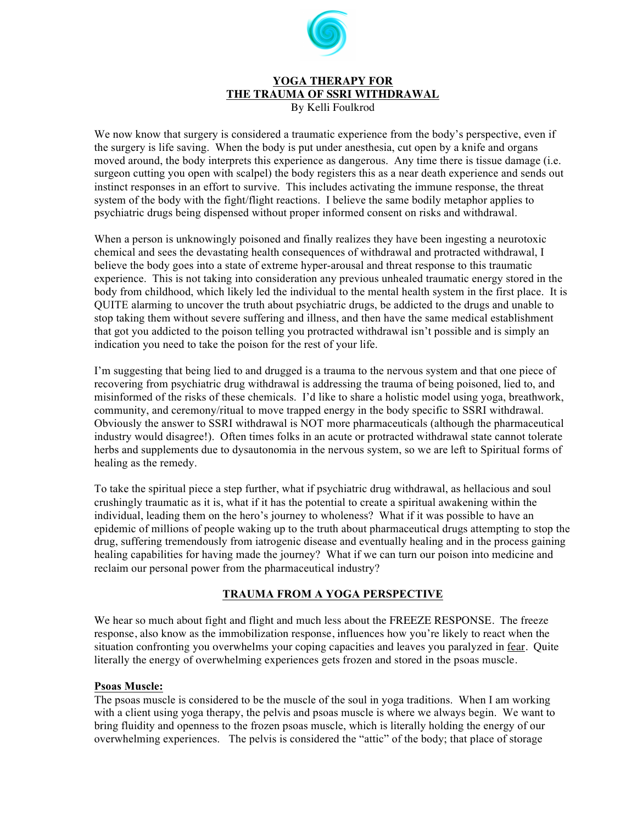

#### **YOGA THERAPY FOR THE TRAUMA OF SSRI WITHDRAWAL**  By Kelli Foulkrod

We now know that surgery is considered a traumatic experience from the body's perspective, even if the surgery is life saving. When the body is put under anesthesia, cut open by a knife and organs moved around, the body interprets this experience as dangerous. Any time there is tissue damage (i.e. surgeon cutting you open with scalpel) the body registers this as a near death experience and sends out instinct responses in an effort to survive. This includes activating the immune response, the threat system of the body with the fight/flight reactions. I believe the same bodily metaphor applies to psychiatric drugs being dispensed without proper informed consent on risks and withdrawal.

When a person is unknowingly poisoned and finally realizes they have been ingesting a neurotoxic chemical and sees the devastating health consequences of withdrawal and protracted withdrawal, I believe the body goes into a state of extreme hyper-arousal and threat response to this traumatic experience. This is not taking into consideration any previous unhealed traumatic energy stored in the body from childhood, which likely led the individual to the mental health system in the first place. It is QUITE alarming to uncover the truth about psychiatric drugs, be addicted to the drugs and unable to stop taking them without severe suffering and illness, and then have the same medical establishment that got you addicted to the poison telling you protracted withdrawal isn't possible and is simply an indication you need to take the poison for the rest of your life.

I'm suggesting that being lied to and drugged is a trauma to the nervous system and that one piece of recovering from psychiatric drug withdrawal is addressing the trauma of being poisoned, lied to, and misinformed of the risks of these chemicals. I'd like to share a holistic model using yoga, breathwork, community, and ceremony/ritual to move trapped energy in the body specific to SSRI withdrawal. Obviously the answer to SSRI withdrawal is NOT more pharmaceuticals (although the pharmaceutical industry would disagree!). Often times folks in an acute or protracted withdrawal state cannot tolerate herbs and supplements due to dysautonomia in the nervous system, so we are left to Spiritual forms of healing as the remedy.

To take the spiritual piece a step further, what if psychiatric drug withdrawal, as hellacious and soul crushingly traumatic as it is, what if it has the potential to create a spiritual awakening within the individual, leading them on the hero's journey to wholeness? What if it was possible to have an epidemic of millions of people waking up to the truth about pharmaceutical drugs attempting to stop the drug, suffering tremendously from iatrogenic disease and eventually healing and in the process gaining healing capabilities for having made the journey? What if we can turn our poison into medicine and reclaim our personal power from the pharmaceutical industry?

## **TRAUMA FROM A YOGA PERSPECTIVE**

We hear so much about fight and flight and much less about the FREEZE RESPONSE. The freeze response, also know as the immobilization response, influences how you're likely to react when the situation confronting you overwhelms your coping capacities and leaves you paralyzed in fear. Quite literally the energy of overwhelming experiences gets frozen and stored in the psoas muscle.

### **Psoas Muscle:**

The psoas muscle is considered to be the muscle of the soul in yoga traditions. When I am working with a client using yoga therapy, the pelvis and psoas muscle is where we always begin. We want to bring fluidity and openness to the frozen psoas muscle, which is literally holding the energy of our overwhelming experiences. The pelvis is considered the "attic" of the body; that place of storage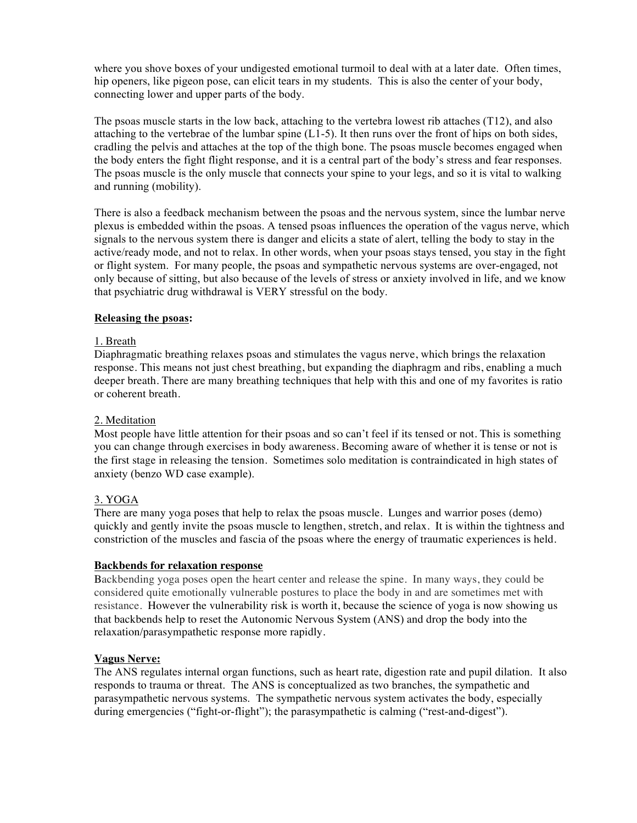where you shove boxes of your undigested emotional turmoil to deal with at a later date. Often times, hip openers, like pigeon pose, can elicit tears in my students. This is also the center of your body, connecting lower and upper parts of the body.

The psoas muscle starts in the low back, attaching to the vertebra lowest rib attaches (T12), and also attaching to the vertebrae of the lumbar spine  $(L1-5)$ . It then runs over the front of hips on both sides, cradling the pelvis and attaches at the top of the thigh bone. The psoas muscle becomes engaged when the body enters the fight flight response, and it is a central part of the body's stress and fear responses. The psoas muscle is the only muscle that connects your spine to your legs, and so it is vital to walking and running (mobility).

There is also a feedback mechanism between the psoas and the nervous system, since the lumbar nerve plexus is embedded within the psoas. A tensed psoas influences the operation of the vagus nerve, which signals to the nervous system there is danger and elicits a state of alert, telling the body to stay in the active/ready mode, and not to relax. In other words, when your psoas stays tensed, you stay in the fight or flight system. For many people, the psoas and sympathetic nervous systems are over-engaged, not only because of sitting, but also because of the levels of stress or anxiety involved in life, and we know that psychiatric drug withdrawal is VERY stressful on the body.

### **Releasing the psoas:**

## 1. Breath

Diaphragmatic breathing relaxes psoas and stimulates the vagus nerve, which brings the relaxation response. This means not just chest breathing, but expanding the diaphragm and ribs, enabling a much deeper breath. There are many breathing techniques that help with this and one of my favorites is ratio or coherent breath.

### 2. Meditation

Most people have little attention for their psoas and so can't feel if its tensed or not. This is something you can change through exercises in body awareness. Becoming aware of whether it is tense or not is the first stage in releasing the tension. Sometimes solo meditation is contraindicated in high states of anxiety (benzo WD case example).

## 3. YOGA

There are many yoga poses that help to relax the psoas muscle. Lunges and warrior poses (demo) quickly and gently invite the psoas muscle to lengthen, stretch, and relax. It is within the tightness and constriction of the muscles and fascia of the psoas where the energy of traumatic experiences is held.

### **Backbends for relaxation response**

Backbending yoga poses open the heart center and release the spine. In many ways, they could be considered quite emotionally vulnerable postures to place the body in and are sometimes met with resistance. However the vulnerability risk is worth it, because the science of yoga is now showing us that backbends help to reset the Autonomic Nervous System (ANS) and drop the body into the relaxation/parasympathetic response more rapidly.

### **Vagus Nerve:**

The ANS regulates internal organ functions, such as heart rate, digestion rate and pupil dilation. It also responds to trauma or threat. The ANS is conceptualized as two branches, the sympathetic and parasympathetic nervous systems. The sympathetic nervous system activates the body, especially during emergencies ("fight-or-flight"); the parasympathetic is calming ("rest-and-digest").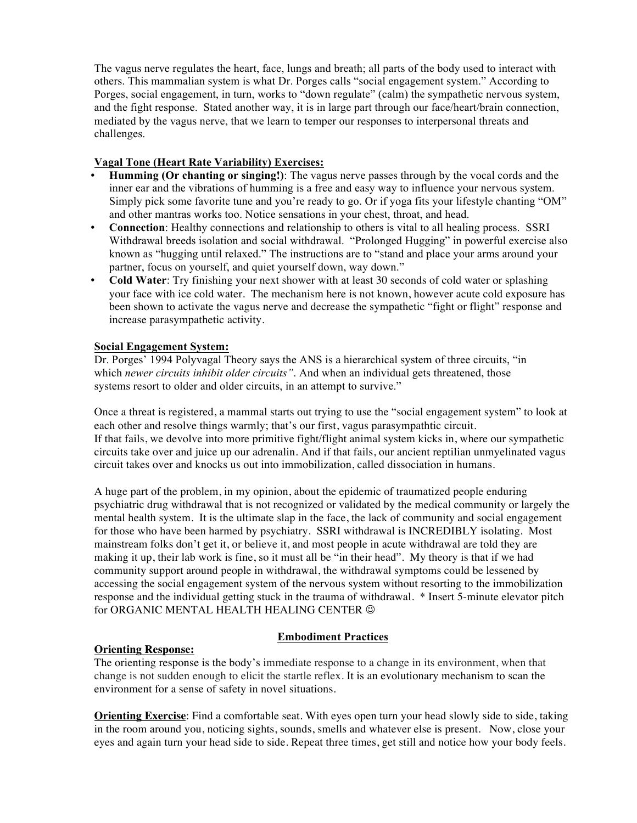The vagus nerve regulates the heart, face, lungs and breath; all parts of the body used to interact with others. This mammalian system is what Dr. Porges calls "social engagement system." According to Porges, social engagement, in turn, works to "down regulate" (calm) the sympathetic nervous system, and the fight response. Stated another way, it is in large part through our face/heart/brain connection, mediated by the vagus nerve, that we learn to temper our responses to interpersonal threats and challenges.

## **Vagal Tone (Heart Rate Variability) Exercises:**

- **Humming (Or chanting or singing!)**: The vagus nerve passes through by the vocal cords and the inner ear and the vibrations of humming is a free and easy way to influence your nervous system. Simply pick some favorite tune and you're ready to go. Or if yoga fits your lifestyle chanting "OM" and other mantras works too. Notice sensations in your chest, throat, and head.
- **Connection**: Healthy connections and relationship to others is vital to all healing process. SSRI Withdrawal breeds isolation and social withdrawal. "Prolonged Hugging" in powerful exercise also known as "hugging until relaxed." The instructions are to "stand and place your arms around your partner, focus on yourself, and quiet yourself down, way down."
- **Cold Water**: Try finishing your next shower with at least 30 seconds of cold water or splashing your face with ice cold water. The mechanism here is not known, however acute cold exposure has been shown to activate the vagus nerve and decrease the sympathetic "fight or flight" response and increase parasympathetic activity.

## **Social Engagement System:**

Dr. Porges' 1994 Polyvagal Theory says the ANS is a hierarchical system of three circuits, "in which *newer circuits inhibit older circuits"*. And when an individual gets threatened, those systems resort to older and older circuits, in an attempt to survive."

Once a threat is registered, a mammal starts out trying to use the "social engagement system" to look at each other and resolve things warmly; that's our first, vagus parasympathtic circuit. If that fails, we devolve into more primitive fight/flight animal system kicks in, where our sympathetic circuits take over and juice up our adrenalin. And if that fails, our ancient reptilian unmyelinated vagus circuit takes over and knocks us out into immobilization, called dissociation in humans.

A huge part of the problem, in my opinion, about the epidemic of traumatized people enduring psychiatric drug withdrawal that is not recognized or validated by the medical community or largely the mental health system. It is the ultimate slap in the face, the lack of community and social engagement for those who have been harmed by psychiatry. SSRI withdrawal is INCREDIBLY isolating. Most mainstream folks don't get it, or believe it, and most people in acute withdrawal are told they are making it up, their lab work is fine, so it must all be "in their head". My theory is that if we had community support around people in withdrawal, the withdrawal symptoms could be lessened by accessing the social engagement system of the nervous system without resorting to the immobilization response and the individual getting stuck in the trauma of withdrawal. \* Insert 5-minute elevator pitch for ORGANIC MENTAL HEALTH HEALING CENTER  $\odot$ 

## **Orienting Response:**

## **Embodiment Practices**

The orienting response is the body's immediate response to a change in its environment, when that change is not sudden enough to elicit the startle reflex. It is an evolutionary mechanism to scan the environment for a sense of safety in novel situations.

**Orienting Exercise**: Find a comfortable seat. With eyes open turn your head slowly side to side, taking in the room around you, noticing sights, sounds, smells and whatever else is present. Now, close your eyes and again turn your head side to side. Repeat three times, get still and notice how your body feels.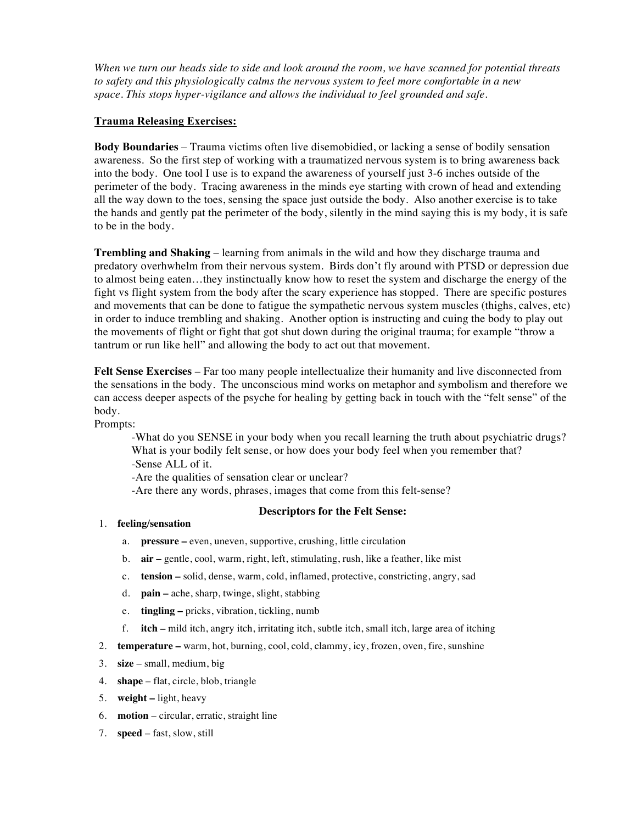When we turn our heads side to side and look around the room, we have scanned for potential threats *to safety and this physiologically calms the nervous system to feel more comfortable in a new space. This stops hyper-vigilance and allows the individual to feel grounded and safe.*

## **Trauma Releasing Exercises:**

**Body Boundaries** – Trauma victims often live disemobidied, or lacking a sense of bodily sensation awareness. So the first step of working with a traumatized nervous system is to bring awareness back into the body. One tool I use is to expand the awareness of yourself just 3-6 inches outside of the perimeter of the body. Tracing awareness in the minds eye starting with crown of head and extending all the way down to the toes, sensing the space just outside the body. Also another exercise is to take the hands and gently pat the perimeter of the body, silently in the mind saying this is my body, it is safe to be in the body.

**Trembling and Shaking** – learning from animals in the wild and how they discharge trauma and predatory overhwhelm from their nervous system. Birds don't fly around with PTSD or depression due to almost being eaten…they instinctually know how to reset the system and discharge the energy of the fight vs flight system from the body after the scary experience has stopped. There are specific postures and movements that can be done to fatigue the sympathetic nervous system muscles (thighs, calves, etc) in order to induce trembling and shaking. Another option is instructing and cuing the body to play out the movements of flight or fight that got shut down during the original trauma; for example "throw a tantrum or run like hell" and allowing the body to act out that movement.

**Felt Sense Exercises** – Far too many people intellectualize their humanity and live disconnected from the sensations in the body. The unconscious mind works on metaphor and symbolism and therefore we can access deeper aspects of the psyche for healing by getting back in touch with the "felt sense" of the body.

Prompts:

-What do you SENSE in your body when you recall learning the truth about psychiatric drugs? What is your bodily felt sense, or how does your body feel when you remember that? -Sense ALL of it. -Are the qualities of sensation clear or unclear?

-Are there any words, phrases, images that come from this felt-sense?

### **Descriptors for the Felt Sense:**

- 1. **feeling/sensation**
	- a. **pressure –** even, uneven, supportive, crushing, little circulation
	- b. **air –** gentle, cool, warm, right, left, stimulating, rush, like a feather, like mist
	- c. **tension –** solid, dense, warm, cold, inflamed, protective, constricting, angry, sad
	- d. **pain –** ache, sharp, twinge, slight, stabbing
	- e. **tingling –** pricks, vibration, tickling, numb
	- f. **itch –** mild itch, angry itch, irritating itch, subtle itch, small itch, large area of itching
- 2. **temperature –** warm, hot, burning, cool, cold, clammy, icy, frozen, oven, fire, sunshine
- 3. **size** small, medium, big
- 4. **shape** flat, circle, blob, triangle
- 5. **weight –** light, heavy
- 6. **motion** circular, erratic, straight line
- 7. **speed** fast, slow, still